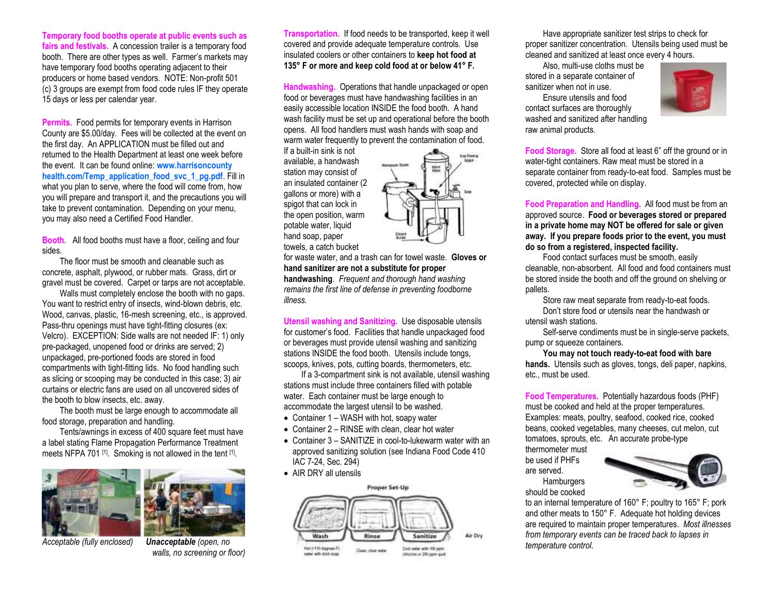**Temporary food booths operate at public events such as fairs and festivals.** A concession trailer is a temporary food booth. There are other types as well. Farmer's markets may have temporary food booths operating adjacent to their producers or home based vendors. NOTE: Non-profit 501 (c) 3 groups are exempt from food code rules IF they operate 15 days or less per calendar year.

**Permits.** Food permits for temporary events in Harrison County are \$5.00/day. Fees will be collected at the event on the first day. An APPLICATION must be filled out and returned to the Health Department at least one week before the event. It can be found online: **[www.harrisoncounty](http://www.harrisoncounty/) health.com/Temp\_application\_food\_svc\_1\_pg.pdf**. Fill in what you plan to serve, where the food will come from, how you will prepare and transport it, and the precautions you will take to prevent contamination. Depending on your menu, you may also need a Certified Food Handler.

**Booth.** All food booths must have a floor, ceiling and four sides.

The floor must be smooth and cleanable such as concrete, asphalt, plywood, or rubber mats. Grass, dirt or gravel must be covered. Carpet or tarps are not acceptable.

Walls must completely enclose the booth with no gaps. You want to restrict entry of insects, wind-blown debris, etc. Wood, canvas, plastic, 16-mesh screening, etc., is approved. Pass-thru openings must have tight-fitting closures (ex: Velcro). EXCEPTION: Side walls are not needed IF: 1) only pre-packaged, unopened food or drinks are served; 2) unpackaged, pre-portioned foods are stored in food compartments with tight-fitting lids. No food handling such as slicing or scooping may be conducted in this case; 3) air curtains or electric fans are used on all uncovered sides of the booth to blow insects, etc. away.

The booth must be large enough to accommodate all food storage, preparation and handling.

Tents/awnings in excess of 400 square feet must have a label stating Flame Propagation Performance Treatment meets NFPA 701<sup>[1]</sup>. Smoking is not allowed in the tent [1].



*Acceptable (fully enclosed) Unacceptable (open, no* 

*walls, no screening or floor)*

**Transportation.** If food needs to be transported, keep it well covered and provide adequate temperature controls. Use insulated coolers or other containers to **keep hot food at 135° F or more and keep cold food at or below 41° F.** 

**Handwashing.** Operations that handle unpackaged or open food or beverages must have handwashing facilities in an easily accessible location INSIDE the food booth. A hand wash facility must be set up and operational before the booth opens. All food handlers must wash hands with soap and warm water frequently to prevent the contamination of food.

If a built-in sink is not available, a handwash station may consist of an insulated container (2 gallons or more) with a spigot that can lock in the open position, warm potable water, liquid hand soap, paper towels, a catch bucket

for waste water, and a trash can for towel waste. **Gloves or hand sanitizer are not a substitute for proper handwashing**. *Frequent and thorough hand washing remains the first line of defense in preventing foodborne illness.*

**Utensil washing and Sanitizing.** Use disposable utensils for customer's food. Facilities that handle unpackaged food or beverages must provide utensil washing and sanitizing stations INSIDE the food booth. Utensils include tongs, scoops, knives, pots, cutting boards, thermometers, etc.

If a 3-compartment sink is not available, utensil washing stations must include three containers filled with potable water. Each container must be large enough to accommodate the largest utensil to be washed.

- Container 1 WASH with hot, soapy water
- Container 2 RINSE with clean, clear hot water
- Container 3 SANITIZE in cool-to-lukewarm water with an approved sanitizing solution (see Indiana Food Code 410 IAC 7-24, Sec. 294)
- AIR DRY all utensils



Have appropriate sanitizer test strips to check for proper sanitizer concentration. Utensils being used must be cleaned and sanitized at least once every 4 hours.

Also, multi-use cloths must be stored in a separate container of sanitizer when not in use.

Ensure utensils and food contact surfaces are thoroughly washed and sanitized after handling raw animal products.



**Food Storage.** Store all food at least 6" off the ground or in water-tight containers. Raw meat must be stored in a separate container from ready-to-eat food. Samples must be covered, protected while on display.

**Food Preparation and Handling.** All food must be from an approved source. **Food or beverages stored or prepared in a private home may NOT be offered for sale or given away. If you prepare foods prior to the event, you must do so from a registered, inspected facility.**

Food contact surfaces must be smooth, easily cleanable, non-absorbent. All food and food containers must be stored inside the booth and off the ground on shelving or pallets.

Store raw meat separate from ready-to-eat foods. Don't store food or utensils near the handwash or

utensil wash stations.

Self-serve condiments must be in single-serve packets, pump or squeeze containers.

**You may not touch ready-to-eat food with bare hands.** Utensils such as gloves, tongs, deli paper, napkins, etc., must be used.

**Food Temperatures.** Potentially hazardous foods (PHF) must be cooked and held at the proper temperatures. Examples: meats, poultry, seafood, cooked rice, cooked beans, cooked vegetables, many cheeses, cut melon, cut tomatoes, sprouts, etc. An accurate probe-type thermometer must

be used if PHFs are served.

**Hamburgers** should be cooked



to an internal temperature of 160° F; poultry to 165° F; pork and other meats to 150° F. Adequate hot holding devices are required to maintain proper temperatures. *Most illnesses from temporary events can be traced back to lapses in temperature control.*